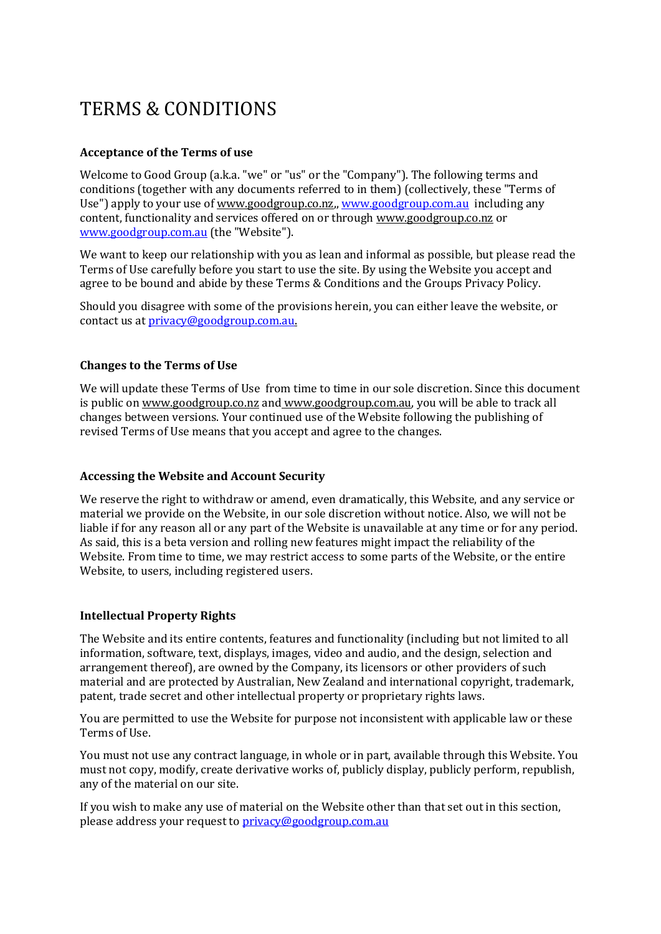# TERMS & CONDITIONS

## **Acceptance of the Terms of use**

Welcome to Good Group (a.k.a. "we" or "us" or the "Company"). The following terms and conditions (together with any documents referred to in them) (collectively, these "Terms of Use") apply to your use of [www.goodgroup.co.nz,](http://www.goodgroup.co.nz/)[, www.goodgroup.com.au](http://www.goodgroup.com.au/) including any content, functionality and services offered on or through [www.goodgroup.co.nz](http://www.goodgroup.co.nz/) or [www.goodgroup.com.au](http://www.goodgroup.com.au/) (the "Website").

We want to keep our relationship with you as lean and informal as possible, but please read the Terms of Use carefully before you start to use the site. By using the Website you accept and agree to be bound and abide by these Terms & Conditions and the Groups Privacy Policy.

Should you disagree with some of the provisions herein, you can either leave the website, or contact us at [privacy@goodgroup.com.au.](mailto:privacy@goodgroup.com.au) 

## **Changes to the Terms of Use**

We will update these Terms of Use from time to time in our sole discretion. Since this document is public on [www.goodgroup.co.nz](http://www.goodgroup.co.nz/) and www.goodgroup.com.au, you will be able to track all changes between versions. Your continued use of the Website following the publishing of revised Terms of Use means that you accept and agree to the changes.

## **Accessing the Website and Account Security**

We reserve the right to withdraw or amend, even dramatically, this Website, and any service or material we provide on the Website, in our sole discretion without notice. Also, we will not be liable if for any reason all or any part of the Website is unavailable at any time or for any period. As said, this is a beta version and rolling new features might impact the reliability of the Website. From time to time, we may restrict access to some parts of the Website, or the entire Website, to users, including registered users.

## **Intellectual Property Rights**

The Website and its entire contents, features and functionality (including but not limited to all information, software, text, displays, images, video and audio, and the design, selection and arrangement thereof), are owned by the Company, its licensors or other providers of such material and are protected by Australian, New Zealand and international copyright, trademark, patent, trade secret and other intellectual property or proprietary rights laws.

You are permitted to use the Website for purpose not inconsistent with applicable law or these Terms of Use.

You must not use any contract language, in whole or in part, available through this Website. You must not copy, modify, create derivative works of, publicly display, publicly perform, republish, any of the material on our site.

If you wish to make any use of material on the Website other than that set out in this section, please address your request to [privacy@goodgroup.com.au](mailto:privacy@goodgroup.com.au)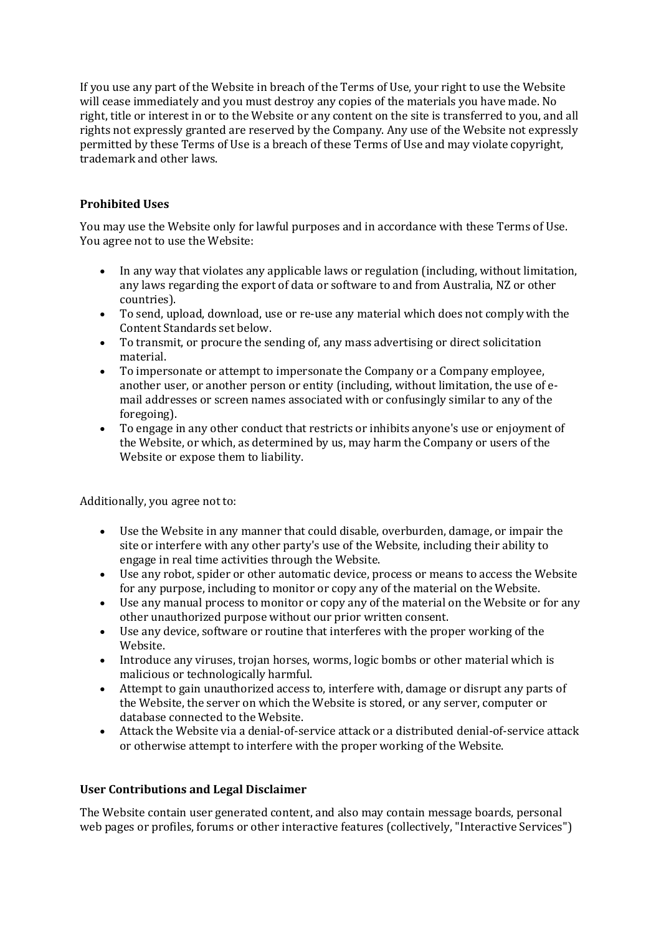If you use any part of the Website in breach of the Terms of Use, your right to use the Website will cease immediately and you must destroy any copies of the materials you have made. No right, title or interest in or to the Website or any content on the site is transferred to you, and all rights not expressly granted are reserved by the Company. Any use of the Website not expressly permitted by these Terms of Use is a breach of these Terms of Use and may violate copyright, trademark and other laws.

## **Prohibited Uses**

You may use the Website only for lawful purposes and in accordance with these Terms of Use. You agree not to use the Website:

- In any way that violates any applicable laws or regulation (including, without limitation, any laws regarding the export of data or software to and from Australia, NZ or other countries).
- To send, upload, download, use or re-use any material which does not comply with the Content Standards set below.
- To transmit, or procure the sending of, any mass advertising or direct solicitation material.
- To impersonate or attempt to impersonate the Company or a Company employee, another user, or another person or entity (including, without limitation, the use of email addresses or screen names associated with or confusingly similar to any of the foregoing).
- To engage in any other conduct that restricts or inhibits anyone's use or enjoyment of the Website, or which, as determined by us, may harm the Company or users of the Website or expose them to liability.

Additionally, you agree not to:

- Use the Website in any manner that could disable, overburden, damage, or impair the site or interfere with any other party's use of the Website, including their ability to engage in real time activities through the Website.
- Use any robot, spider or other automatic device, process or means to access the Website for any purpose, including to monitor or copy any of the material on the Website.
- Use any manual process to monitor or copy any of the material on the Website or for any other unauthorized purpose without our prior written consent.
- Use any device, software or routine that interferes with the proper working of the Website.
- Introduce any viruses, trojan horses, worms, logic bombs or other material which is malicious or technologically harmful.
- Attempt to gain unauthorized access to, interfere with, damage or disrupt any parts of the Website, the server on which the Website is stored, or any server, computer or database connected to the Website.
- Attack the Website via a denial-of-service attack or a distributed denial-of-service attack or otherwise attempt to interfere with the proper working of the Website.

## **User Contributions and Legal Disclaimer**

The Website contain user generated content, and also may contain message boards, personal web pages or profiles, forums or other interactive features (collectively, "Interactive Services")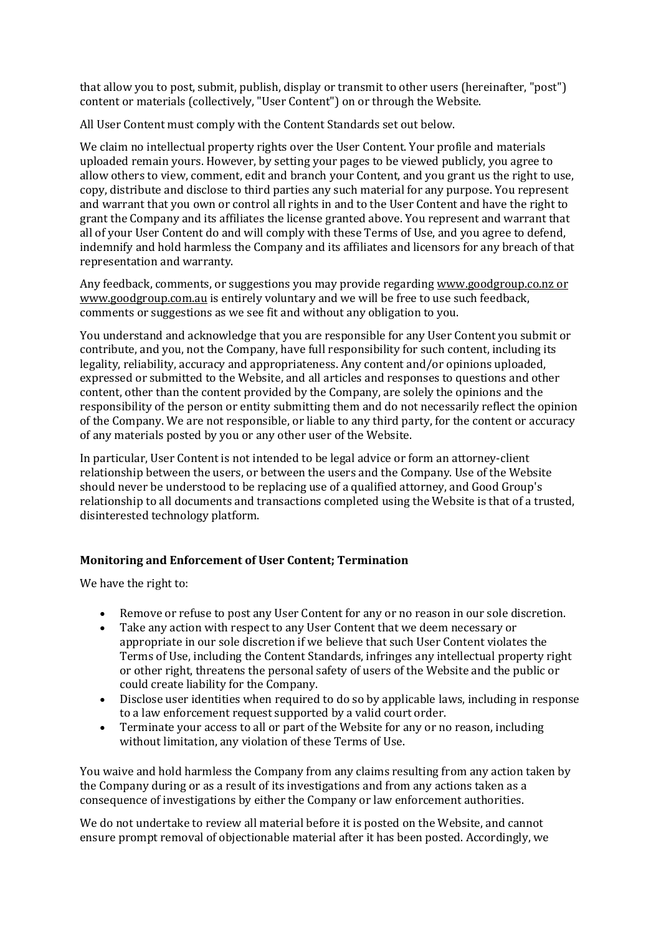that allow you to post, submit, publish, display or transmit to other users (hereinafter, "post") content or materials (collectively, "User Content") on or through the Website.

All User Content must comply with the Content Standards set out below.

We claim no intellectual property rights over the User Content. Your profile and materials uploaded remain yours. However, by setting your pages to be viewed publicly, you agree to allow others to view, comment, edit and branch your Content, and you grant us the right to use, copy, distribute and disclose to third parties any such material for any purpose. You represent and warrant that you own or control all rights in and to the User Content and have the right to grant the Company and its affiliates the license granted above. You represent and warrant that all of your User Content do and will comply with these Terms of Use, and you agree to defend, indemnify and hold harmless the Company and its affiliates and licensors for any breach of that representation and warranty.

Any feedback, comments, or suggestions you may provide regarding [www.goodgroup.co.nz](http://www.goodgroup.co.nz/) or www.goodgroup.com.au is entirely voluntary and we will be free to use such feedback, comments or suggestions as we see fit and without any obligation to you.

You understand and acknowledge that you are responsible for any User Content you submit or contribute, and you, not the Company, have full responsibility for such content, including its legality, reliability, accuracy and appropriateness. Any content and/or opinions uploaded, expressed or submitted to the Website, and all articles and responses to questions and other content, other than the content provided by the Company, are solely the opinions and the responsibility of the person or entity submitting them and do not necessarily reflect the opinion of the Company. We are not responsible, or liable to any third party, for the content or accuracy of any materials posted by you or any other user of the Website.

In particular, User Content is not intended to be legal advice or form an attorney-client relationship between the users, or between the users and the Company. Use of the Website should never be understood to be replacing use of a qualified attorney, and Good Group's relationship to all documents and transactions completed using the Website is that of a trusted, disinterested technology platform.

## **Monitoring and Enforcement of User Content; Termination**

We have the right to:

- Remove or refuse to post any User Content for any or no reason in our sole discretion.
- Take any action with respect to any User Content that we deem necessary or appropriate in our sole discretion if we believe that such User Content violates the Terms of Use, including the Content Standards, infringes any intellectual property right or other right, threatens the personal safety of users of the Website and the public or could create liability for the Company.
- Disclose user identities when required to do so by applicable laws, including in response to a law enforcement request supported by a valid court order.
- Terminate your access to all or part of the Website for any or no reason, including without limitation, any violation of these Terms of Use.

You waive and hold harmless the Company from any claims resulting from any action taken by the Company during or as a result of its investigations and from any actions taken as a consequence of investigations by either the Company or law enforcement authorities.

We do not undertake to review all material before it is posted on the Website, and cannot ensure prompt removal of objectionable material after it has been posted. Accordingly, we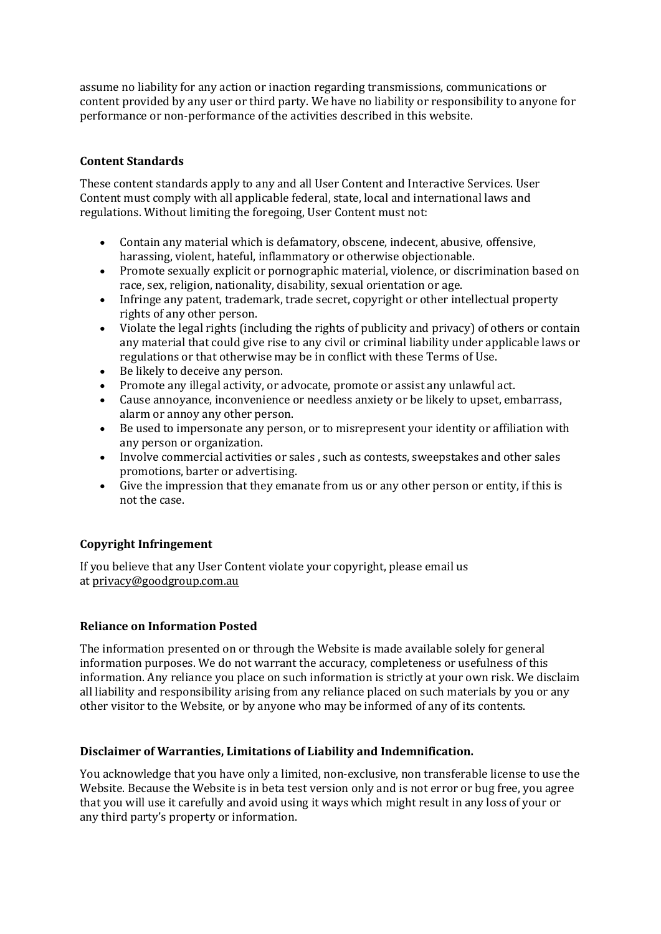assume no liability for any action or inaction regarding transmissions, communications or content provided by any user or third party. We have no liability or responsibility to anyone for performance or non-performance of the activities described in this website.

## **Content Standards**

These content standards apply to any and all User Content and Interactive Services. User Content must comply with all applicable federal, state, local and international laws and regulations. Without limiting the foregoing, User Content must not:

- Contain any material which is defamatory, obscene, indecent, abusive, offensive, harassing, violent, hateful, inflammatory or otherwise objectionable.
- Promote sexually explicit or pornographic material, violence, or discrimination based on race, sex, religion, nationality, disability, sexual orientation or age.
- Infringe any patent, trademark, trade secret, copyright or other intellectual property rights of any other person.
- Violate the legal rights (including the rights of publicity and privacy) of others or contain any material that could give rise to any civil or criminal liability under applicable laws or regulations or that otherwise may be in conflict with these Terms of Use.
- Be likely to deceive any person.
- Promote any illegal activity, or advocate, promote or assist any unlawful act.
- Cause annoyance, inconvenience or needless anxiety or be likely to upset, embarrass, alarm or annoy any other person.
- Be used to impersonate any person, or to misrepresent your identity or affiliation with any person or organization.
- Involve commercial activities or sales , such as contests, sweepstakes and other sales promotions, barter or advertising.
- Give the impression that they emanate from us or any other person or entity, if this is not the case.

## **Copyright Infringement**

If you believe that any User Content violate your copyright, please email us at [privacy@goodgroup.com.au](mailto:headoffice@goodgroup.co.nz)

## **Reliance on Information Posted**

The information presented on or through the Website is made available solely for general information purposes. We do not warrant the accuracy, completeness or usefulness of this information. Any reliance you place on such information is strictly at your own risk. We disclaim all liability and responsibility arising from any reliance placed on such materials by you or any other visitor to the Website, or by anyone who may be informed of any of its contents.

## **Disclaimer of Warranties, Limitations of Liability and Indemnification.**

You acknowledge that you have only a limited, non-exclusive, non transferable license to use the Website. Because the Website is in beta test version only and is not error or bug free, you agree that you will use it carefully and avoid using it ways which might result in any loss of your or any third party's property or information.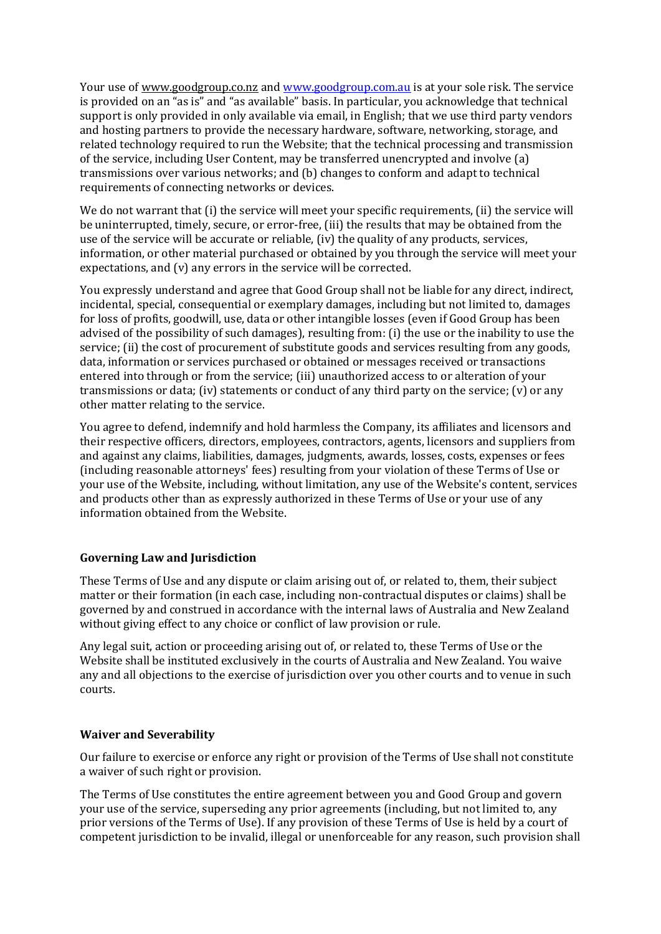Your use of [www.goodgroup.co.nz](http://www.goodgroup.co.nz/) and [www.goodgroup.com.au](http://www.goodgroup.com.au/) is at your sole risk. The service is provided on an "as is" and "as available" basis. In particular, you acknowledge that technical support is only provided in only available via email, in English; that we use third party vendors and hosting partners to provide the necessary hardware, software, networking, storage, and related technology required to run the Website; that the technical processing and transmission of the service, including User Content, may be transferred unencrypted and involve (a) transmissions over various networks; and (b) changes to conform and adapt to technical requirements of connecting networks or devices.

We do not warrant that (i) the service will meet your specific requirements, (ii) the service will be uninterrupted, timely, secure, or error-free, (iii) the results that may be obtained from the use of the service will be accurate or reliable, (iv) the quality of any products, services, information, or other material purchased or obtained by you through the service will meet your expectations, and (v) any errors in the service will be corrected.

You expressly understand and agree that Good Group shall not be liable for any direct, indirect, incidental, special, consequential or exemplary damages, including but not limited to, damages for loss of profits, goodwill, use, data or other intangible losses (even if Good Group has been advised of the possibility of such damages), resulting from: (i) the use or the inability to use the service: (ii) the cost of procurement of substitute goods and services resulting from any goods, data, information or services purchased or obtained or messages received or transactions entered into through or from the service; (iii) unauthorized access to or alteration of your transmissions or data; (iv) statements or conduct of any third party on the service; (v) or any other matter relating to the service.

You agree to defend, indemnify and hold harmless the Company, its affiliates and licensors and their respective officers, directors, employees, contractors, agents, licensors and suppliers from and against any claims, liabilities, damages, judgments, awards, losses, costs, expenses or fees (including reasonable attorneys' fees) resulting from your violation of these Terms of Use or your use of the Website, including, without limitation, any use of the Website's content, services and products other than as expressly authorized in these Terms of Use or your use of any information obtained from the Website.

## **Governing Law and Jurisdiction**

These Terms of Use and any dispute or claim arising out of, or related to, them, their subject matter or their formation (in each case, including non-contractual disputes or claims) shall be governed by and construed in accordance with the internal laws of Australia and New Zealand without giving effect to any choice or conflict of law provision or rule.

Any legal suit, action or proceeding arising out of, or related to, these Terms of Use or the Website shall be instituted exclusively in the courts of Australia and New Zealand. You waive any and all objections to the exercise of jurisdiction over you other courts and to venue in such courts.

## **Waiver and Severability**

Our failure to exercise or enforce any right or provision of the Terms of Use shall not constitute a waiver of such right or provision.

The Terms of Use constitutes the entire agreement between you and Good Group and govern your use of the service, superseding any prior agreements (including, but not limited to, any prior versions of the Terms of Use). If any provision of these Terms of Use is held by a court of competent jurisdiction to be invalid, illegal or unenforceable for any reason, such provision shall